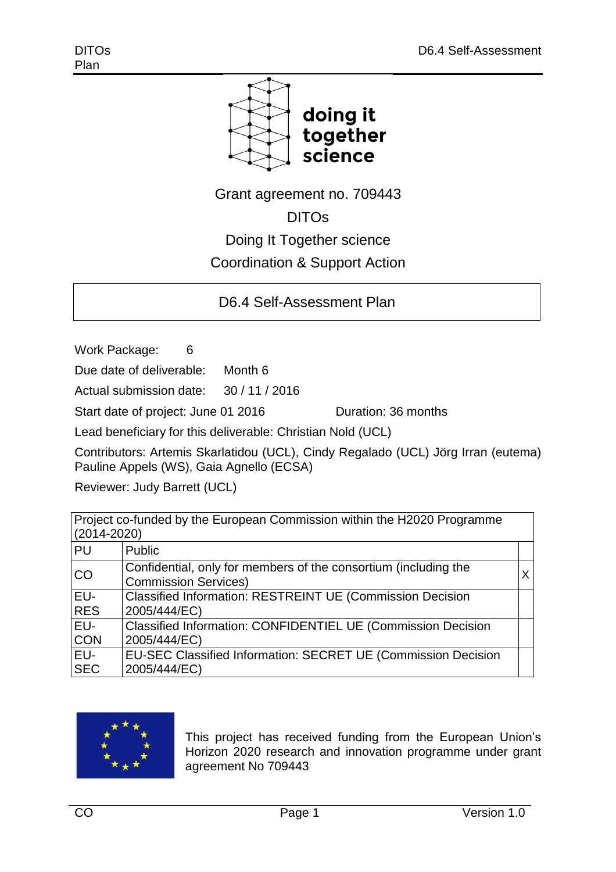

Grant agreement no. 709443

DITOs

Doing It Together science

Coordination & Support Action

D6.4 Self-Assessment Plan

Work Package: 6

Due date of deliverable: Month 6

Actual submission date: 30 / 11 / 2016

Start date of project: June 01 2016 Quration: 36 months

Lead beneficiary for this deliverable: Christian Nold (UCL)

Contributors: Artemis Skarlatidou (UCL), Cindy Regalado (UCL) Jörg Irran (eutema) Pauline Appels (WS), Gaia Agnello (ECSA)

Reviewer: Judy Barrett (UCL)

Project co-funded by the European Commission within the H2020 Programme (2014-2020)

| PU         | Public                                                                                         |  |
|------------|------------------------------------------------------------------------------------------------|--|
| CO         | Confidential, only for members of the consortium (including the<br><b>Commission Services)</b> |  |
| EU-        | <b>Classified Information: RESTREINT UE (Commission Decision</b>                               |  |
| <b>RES</b> | 2005/444/EC)                                                                                   |  |
| EU-        | <b>Classified Information: CONFIDENTIEL UE (Commission Decision</b>                            |  |
| <b>CON</b> | 2005/444/EC)                                                                                   |  |
| EU-        | EU-SEC Classified Information: SECRET UE (Commission Decision                                  |  |
| <b>SEC</b> | 2005/444/EC)                                                                                   |  |



This project has received funding from the European Union's Horizon 2020 research and innovation programme under grant agreement No 709443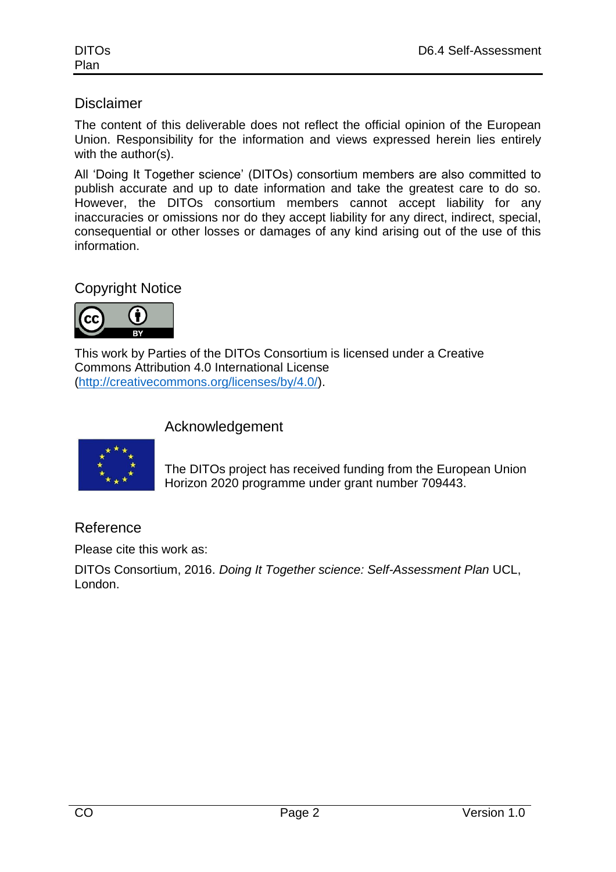## **Disclaimer**

The content of this deliverable does not reflect the official opinion of the European Union. Responsibility for the information and views expressed herein lies entirely with the author(s).

All 'Doing It Together science' (DITOs) consortium members are also committed to publish accurate and up to date information and take the greatest care to do so. However, the DITOs consortium members cannot accept liability for any inaccuracies or omissions nor do they accept liability for any direct, indirect, special, consequential or other losses or damages of any kind arising out of the use of this information.

# Copyright Notice



This work by Parties of the DITOs Consortium is licensed under a Creative Commons Attribution 4.0 International License [\(http://creativecommons.org/licenses/by/4.0/\)](http://creativecommons.org/licenses/by/4.0/).

#### Acknowledgement



The DITOs project has received funding from the European Union Horizon 2020 programme under grant number 709443.

## Reference

Please cite this work as:

DITOs Consortium, 2016. *Doing It Together science: Self-Assessment Plan* UCL, London.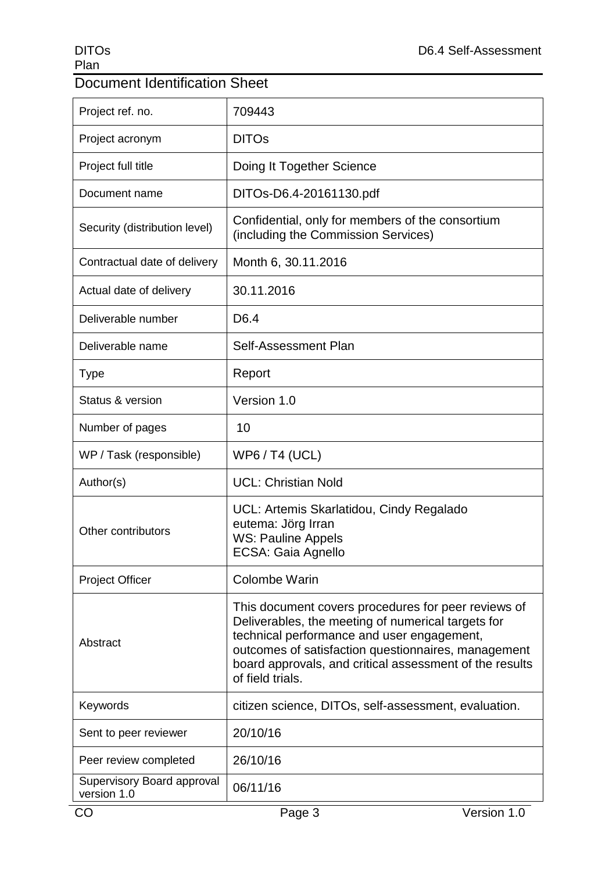# Document Identification Sheet

| Project ref. no.                          | 709443                                                                                                                                                                                                                                                                                        |
|-------------------------------------------|-----------------------------------------------------------------------------------------------------------------------------------------------------------------------------------------------------------------------------------------------------------------------------------------------|
| Project acronym                           | <b>DITOs</b>                                                                                                                                                                                                                                                                                  |
| Project full title                        | Doing It Together Science                                                                                                                                                                                                                                                                     |
| Document name                             | DITOs-D6.4-20161130.pdf                                                                                                                                                                                                                                                                       |
| Security (distribution level)             | Confidential, only for members of the consortium<br>(including the Commission Services)                                                                                                                                                                                                       |
| Contractual date of delivery              | Month 6, 30.11.2016                                                                                                                                                                                                                                                                           |
| Actual date of delivery                   | 30.11.2016                                                                                                                                                                                                                                                                                    |
| Deliverable number                        | D <sub>6.4</sub>                                                                                                                                                                                                                                                                              |
| Deliverable name                          | Self-Assessment Plan                                                                                                                                                                                                                                                                          |
| <b>Type</b>                               | Report                                                                                                                                                                                                                                                                                        |
| Status & version                          | Version 1.0                                                                                                                                                                                                                                                                                   |
| Number of pages                           | 10                                                                                                                                                                                                                                                                                            |
| WP / Task (responsible)                   | <b>WP6/T4 (UCL)</b>                                                                                                                                                                                                                                                                           |
| Author(s)                                 | <b>UCL: Christian Nold</b>                                                                                                                                                                                                                                                                    |
| Other contributors                        | UCL: Artemis Skarlatidou, Cindy Regalado<br>eutema: Jörg Irran<br><b>WS: Pauline Appels</b><br>ECSA: Gaia Agnello                                                                                                                                                                             |
| <b>Project Officer</b>                    | <b>Colombe Warin</b>                                                                                                                                                                                                                                                                          |
| Abstract                                  | This document covers procedures for peer reviews of<br>Deliverables, the meeting of numerical targets for<br>technical performance and user engagement,<br>outcomes of satisfaction questionnaires, management<br>board approvals, and critical assessment of the results<br>of field trials. |
| Keywords                                  | citizen science, DITOs, self-assessment, evaluation.                                                                                                                                                                                                                                          |
| Sent to peer reviewer                     | 20/10/16                                                                                                                                                                                                                                                                                      |
| Peer review completed                     | 26/10/16                                                                                                                                                                                                                                                                                      |
| Supervisory Board approval<br>version 1.0 | 06/11/16                                                                                                                                                                                                                                                                                      |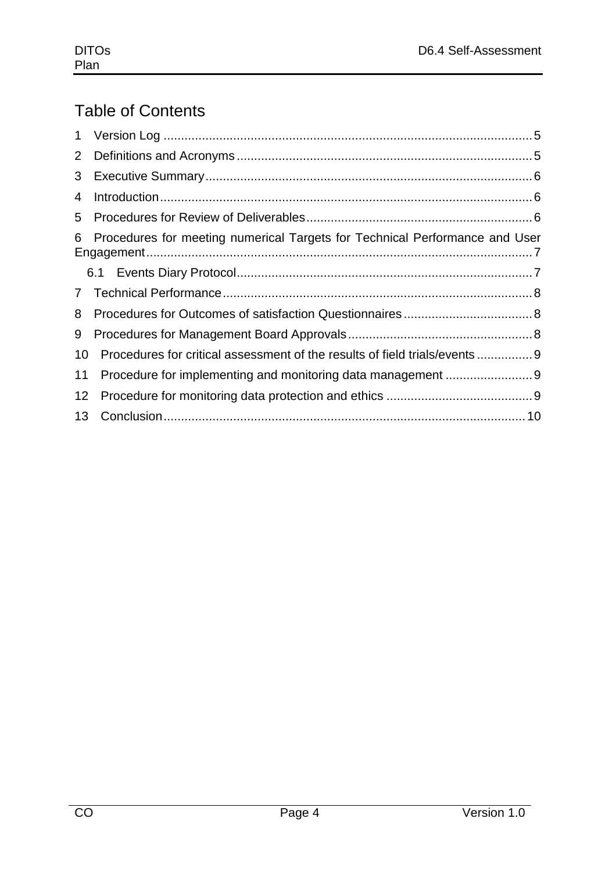# Table of Contents

| $\mathbf 1$    |                                                                             |  |
|----------------|-----------------------------------------------------------------------------|--|
| $\overline{2}$ |                                                                             |  |
| 3              |                                                                             |  |
| 4              |                                                                             |  |
| 5              |                                                                             |  |
| 6              | Procedures for meeting numerical Targets for Technical Performance and User |  |
|                |                                                                             |  |
| 7 <sup>7</sup> |                                                                             |  |
| 8              |                                                                             |  |
| 9              |                                                                             |  |
| 10             | Procedures for critical assessment of the results of field trials/events 9  |  |
| 11             |                                                                             |  |
| 12             |                                                                             |  |
| 13             |                                                                             |  |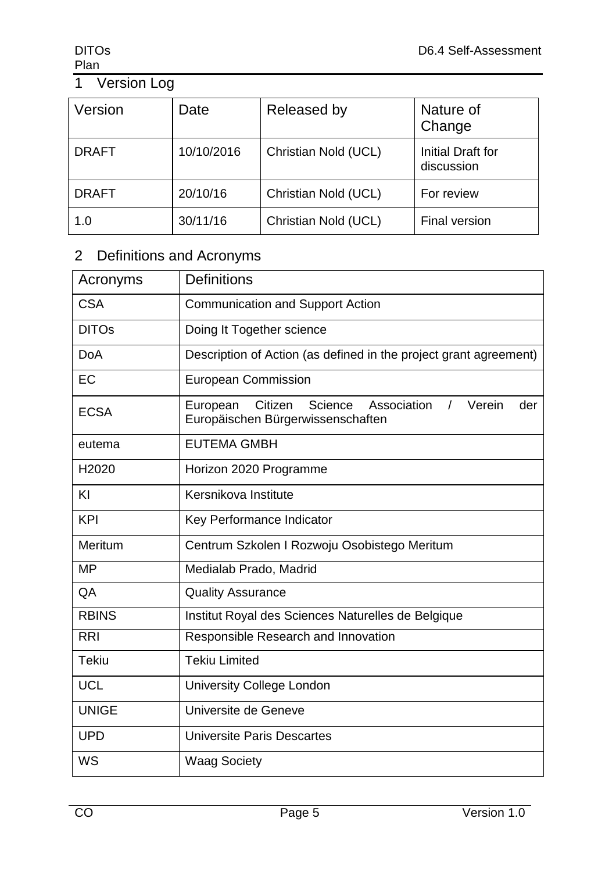# **Plan**

# 1 Version Log

| Version      | Date       | Released by          | Nature of<br>Change             |
|--------------|------------|----------------------|---------------------------------|
| <b>DRAFT</b> | 10/10/2016 | Christian Nold (UCL) | Initial Draft for<br>discussion |
| <b>DRAFT</b> | 20/10/16   | Christian Nold (UCL) | For review                      |
| 1.0          | 30/11/16   | Christian Nold (UCL) | Final version                   |

# 2 Definitions and Acronyms

| Acronyms          | <b>Definitions</b>                                                                                              |  |  |  |  |
|-------------------|-----------------------------------------------------------------------------------------------------------------|--|--|--|--|
| <b>CSA</b>        | <b>Communication and Support Action</b>                                                                         |  |  |  |  |
| <b>DITOs</b>      | Doing It Together science                                                                                       |  |  |  |  |
| <b>DoA</b>        | Description of Action (as defined in the project grant agreement)                                               |  |  |  |  |
| EC                | <b>European Commission</b>                                                                                      |  |  |  |  |
| <b>ECSA</b>       | Citizen<br>Science<br>Association<br>Verein<br>European<br>$\prime$<br>der<br>Europäischen Bürgerwissenschaften |  |  |  |  |
| eutema            | <b>EUTEMA GMBH</b>                                                                                              |  |  |  |  |
| H <sub>2020</sub> | Horizon 2020 Programme                                                                                          |  |  |  |  |
| KI                | Kersnikova Institute                                                                                            |  |  |  |  |
| <b>KPI</b>        | Key Performance Indicator                                                                                       |  |  |  |  |
| Meritum           | Centrum Szkolen I Rozwoju Osobistego Meritum                                                                    |  |  |  |  |
| <b>MP</b>         | Medialab Prado, Madrid                                                                                          |  |  |  |  |
| QA                | <b>Quality Assurance</b>                                                                                        |  |  |  |  |
| <b>RBINS</b>      | Institut Royal des Sciences Naturelles de Belgique                                                              |  |  |  |  |
| <b>RRI</b>        | Responsible Research and Innovation                                                                             |  |  |  |  |
| <b>Tekiu</b>      | <b>Tekiu Limited</b>                                                                                            |  |  |  |  |
| <b>UCL</b>        | <b>University College London</b>                                                                                |  |  |  |  |
| <b>UNIGE</b>      | Universite de Geneve                                                                                            |  |  |  |  |
| <b>UPD</b>        | Universite Paris Descartes                                                                                      |  |  |  |  |
| WS                | <b>Waag Society</b>                                                                                             |  |  |  |  |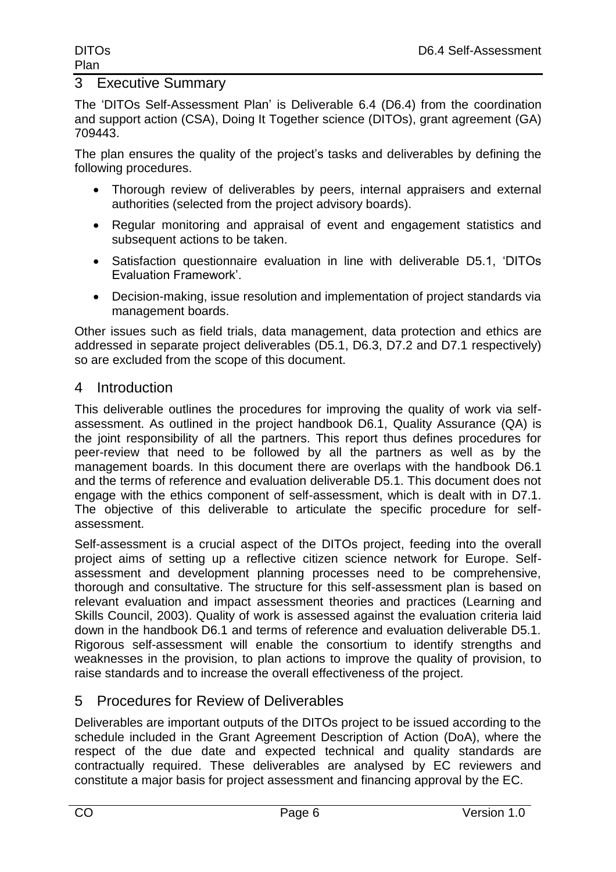#### 3 Executive Summary

The 'DITOs Self-Assessment Plan' is Deliverable 6.4 (D6.4) from the coordination and support action (CSA), Doing It Together science (DITOs), grant agreement (GA) 709443.

The plan ensures the quality of the project's tasks and deliverables by defining the following procedures.

- Thorough review of deliverables by peers, internal appraisers and external authorities (selected from the project advisory boards).
- Regular monitoring and appraisal of event and engagement statistics and subsequent actions to be taken.
- Satisfaction questionnaire evaluation in line with deliverable D5.1, 'DITOs Evaluation Framework'.
- Decision-making, issue resolution and implementation of project standards via management boards.

Other issues such as field trials, data management, data protection and ethics are addressed in separate project deliverables (D5.1, D6.3, D7.2 and D7.1 respectively) so are excluded from the scope of this document.

#### 4 Introduction

This deliverable outlines the procedures for improving the quality of work via selfassessment. As outlined in the project handbook D6.1, Quality Assurance (QA) is the joint responsibility of all the partners. This report thus defines procedures for peer-review that need to be followed by all the partners as well as by the management boards. In this document there are overlaps with the handbook D6.1 and the terms of reference and evaluation deliverable D5.1. This document does not engage with the ethics component of self-assessment, which is dealt with in D7.1. The objective of this deliverable to articulate the specific procedure for selfassessment.

Self-assessment is a crucial aspect of the DITOs project, feeding into the overall project aims of setting up a reflective citizen science network for Europe. Selfassessment and development planning processes need to be comprehensive, thorough and consultative. The structure for this self-assessment plan is based on relevant evaluation and impact assessment theories and practices (Learning and Skills Council, 2003). Quality of work is assessed against the evaluation criteria laid down in the handbook D6.1 and terms of reference and evaluation deliverable D5.1. Rigorous self-assessment will enable the consortium to identify strengths and weaknesses in the provision, to plan actions to improve the quality of provision, to raise standards and to increase the overall effectiveness of the project.

## 5 Procedures for Review of Deliverables

Deliverables are important outputs of the DITOs project to be issued according to the schedule included in the Grant Agreement Description of Action (DoA), where the respect of the due date and expected technical and quality standards are contractually required. These deliverables are analysed by EC reviewers and constitute a major basis for project assessment and financing approval by the EC.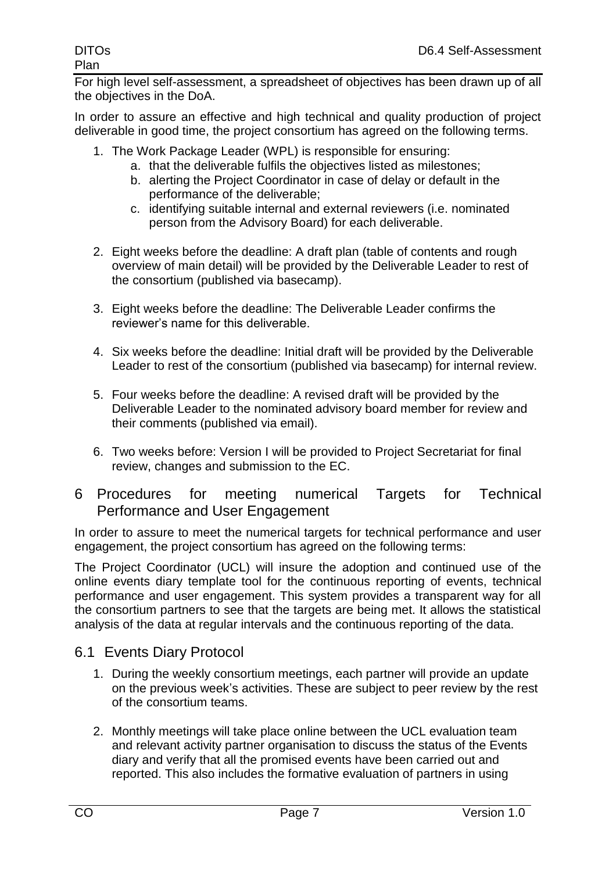For high level self-assessment, a spreadsheet of objectives has been drawn up of all the objectives in the DoA.

In order to assure an effective and high technical and quality production of project deliverable in good time, the project consortium has agreed on the following terms.

- 1. The Work Package Leader (WPL) is responsible for ensuring:
	- a. that the deliverable fulfils the objectives listed as milestones;
	- b. alerting the Project Coordinator in case of delay or default in the performance of the deliverable;
	- c. identifying suitable internal and external reviewers (i.e. nominated person from the Advisory Board) for each deliverable.
- 2. Eight weeks before the deadline: A draft plan (table of contents and rough overview of main detail) will be provided by the Deliverable Leader to rest of the consortium (published via basecamp).
- 3. Eight weeks before the deadline: The Deliverable Leader confirms the reviewer's name for this deliverable.
- 4. Six weeks before the deadline: Initial draft will be provided by the Deliverable Leader to rest of the consortium (published via basecamp) for internal review.
- 5. Four weeks before the deadline: A revised draft will be provided by the Deliverable Leader to the nominated advisory board member for review and their comments (published via email).
- 6. Two weeks before: Version I will be provided to Project Secretariat for final review, changes and submission to the EC.
- 6 Procedures for meeting numerical Targets for Technical Performance and User Engagement

In order to assure to meet the numerical targets for technical performance and user engagement, the project consortium has agreed on the following terms:

The Project Coordinator (UCL) will insure the adoption and continued use of the online events diary template tool for the continuous reporting of events, technical performance and user engagement. This system provides a transparent way for all the consortium partners to see that the targets are being met. It allows the statistical analysis of the data at regular intervals and the continuous reporting of the data.

## 6.1 Events Diary Protocol

- 1. During the weekly consortium meetings, each partner will provide an update on the previous week's activities. These are subject to peer review by the rest of the consortium teams.
- 2. Monthly meetings will take place online between the UCL evaluation team and relevant activity partner organisation to discuss the status of the Events diary and verify that all the promised events have been carried out and reported. This also includes the formative evaluation of partners in using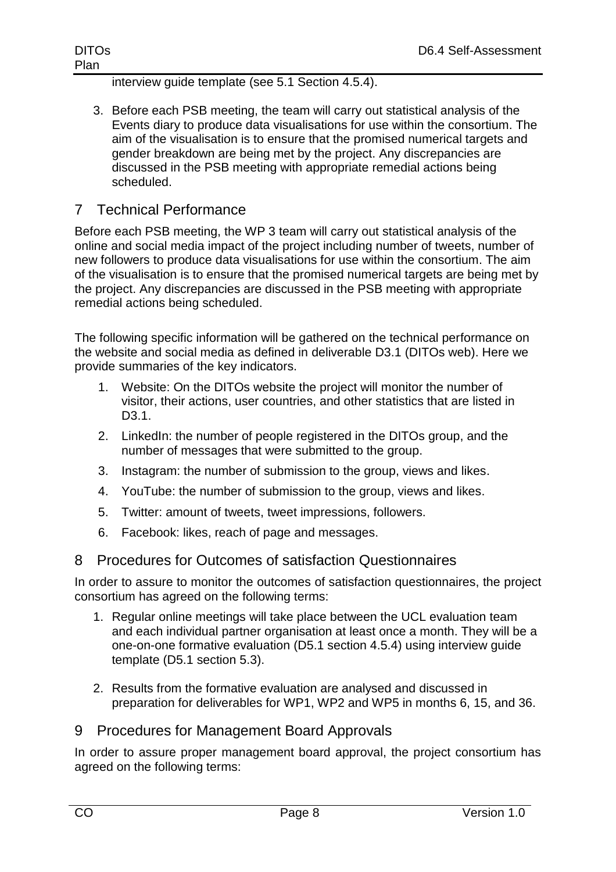interview guide template (see 5.1 Section 4.5.4).

3. Before each PSB meeting, the team will carry out statistical analysis of the Events diary to produce data visualisations for use within the consortium. The aim of the visualisation is to ensure that the promised numerical targets and gender breakdown are being met by the project. Any discrepancies are discussed in the PSB meeting with appropriate remedial actions being scheduled.

## 7 Technical Performance

Before each PSB meeting, the WP 3 team will carry out statistical analysis of the online and social media impact of the project including number of tweets, number of new followers to produce data visualisations for use within the consortium. The aim of the visualisation is to ensure that the promised numerical targets are being met by the project. Any discrepancies are discussed in the PSB meeting with appropriate remedial actions being scheduled.

The following specific information will be gathered on the technical performance on the website and social media as defined in deliverable D3.1 (DITOs web). Here we provide summaries of the key indicators.

- 1. Website: On the DITOs website the project will monitor the number of visitor, their actions, user countries, and other statistics that are listed in D<sub>3</sub>.1.
- 2. LinkedIn: the number of people registered in the DITOs group, and the number of messages that were submitted to the group.
- 3. Instagram: the number of submission to the group, views and likes.
- 4. YouTube: the number of submission to the group, views and likes.
- 5. Twitter: amount of tweets, tweet impressions, followers.
- 6. Facebook: likes, reach of page and messages.

#### 8 Procedures for Outcomes of satisfaction Questionnaires

In order to assure to monitor the outcomes of satisfaction questionnaires, the project consortium has agreed on the following terms:

- 1. Regular online meetings will take place between the UCL evaluation team and each individual partner organisation at least once a month. They will be a one-on-one formative evaluation (D5.1 section 4.5.4) using interview guide template (D5.1 section 5.3).
- 2. Results from the formative evaluation are analysed and discussed in preparation for deliverables for WP1, WP2 and WP5 in months 6, 15, and 36.

#### 9 Procedures for Management Board Approvals

In order to assure proper management board approval, the project consortium has agreed on the following terms: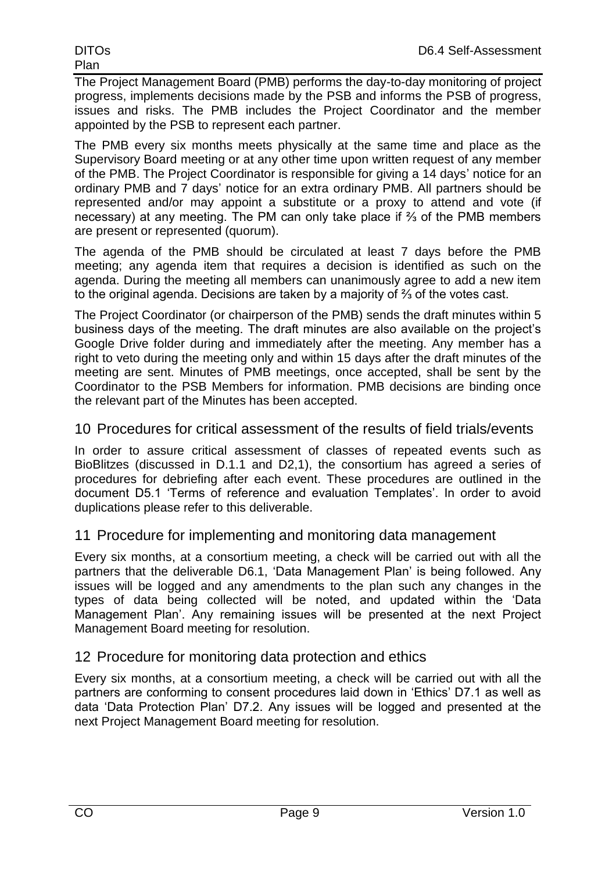The Project Management Board (PMB) performs the day-to-day monitoring of project progress, implements decisions made by the PSB and informs the PSB of progress, issues and risks. The PMB includes the Project Coordinator and the member appointed by the PSB to represent each partner.

The PMB every six months meets physically at the same time and place as the Supervisory Board meeting or at any other time upon written request of any member of the PMB. The Project Coordinator is responsible for giving a 14 days' notice for an ordinary PMB and 7 days' notice for an extra ordinary PMB. All partners should be represented and/or may appoint a substitute or a proxy to attend and vote (if necessary) at any meeting. The PM can only take place if ⅔ of the PMB members are present or represented (quorum).

The agenda of the PMB should be circulated at least 7 days before the PMB meeting; any agenda item that requires a decision is identified as such on the agenda. During the meeting all members can unanimously agree to add a new item to the original agenda. Decisions are taken by a majority of ⅔ of the votes cast.

The Project Coordinator (or chairperson of the PMB) sends the draft minutes within 5 business days of the meeting. The draft minutes are also available on the project's Google Drive folder during and immediately after the meeting. Any member has a right to veto during the meeting only and within 15 days after the draft minutes of the meeting are sent. Minutes of PMB meetings, once accepted, shall be sent by the Coordinator to the PSB Members for information. PMB decisions are binding once the relevant part of the Minutes has been accepted.

#### 10 Procedures for critical assessment of the results of field trials/events

In order to assure critical assessment of classes of repeated events such as BioBlitzes (discussed in D.1.1 and D2,1), the consortium has agreed a series of procedures for debriefing after each event. These procedures are outlined in the document D5.1 'Terms of reference and evaluation Templates'. In order to avoid duplications please refer to this deliverable.

## 11 Procedure for implementing and monitoring data management

Every six months, at a consortium meeting, a check will be carried out with all the partners that the deliverable D6.1, 'Data Management Plan' is being followed. Any issues will be logged and any amendments to the plan such any changes in the types of data being collected will be noted, and updated within the 'Data Management Plan'. Any remaining issues will be presented at the next Project Management Board meeting for resolution.

## 12 Procedure for monitoring data protection and ethics

Every six months, at a consortium meeting, a check will be carried out with all the partners are conforming to consent procedures laid down in 'Ethics' D7.1 as well as data 'Data Protection Plan' D7.2. Any issues will be logged and presented at the next Project Management Board meeting for resolution.